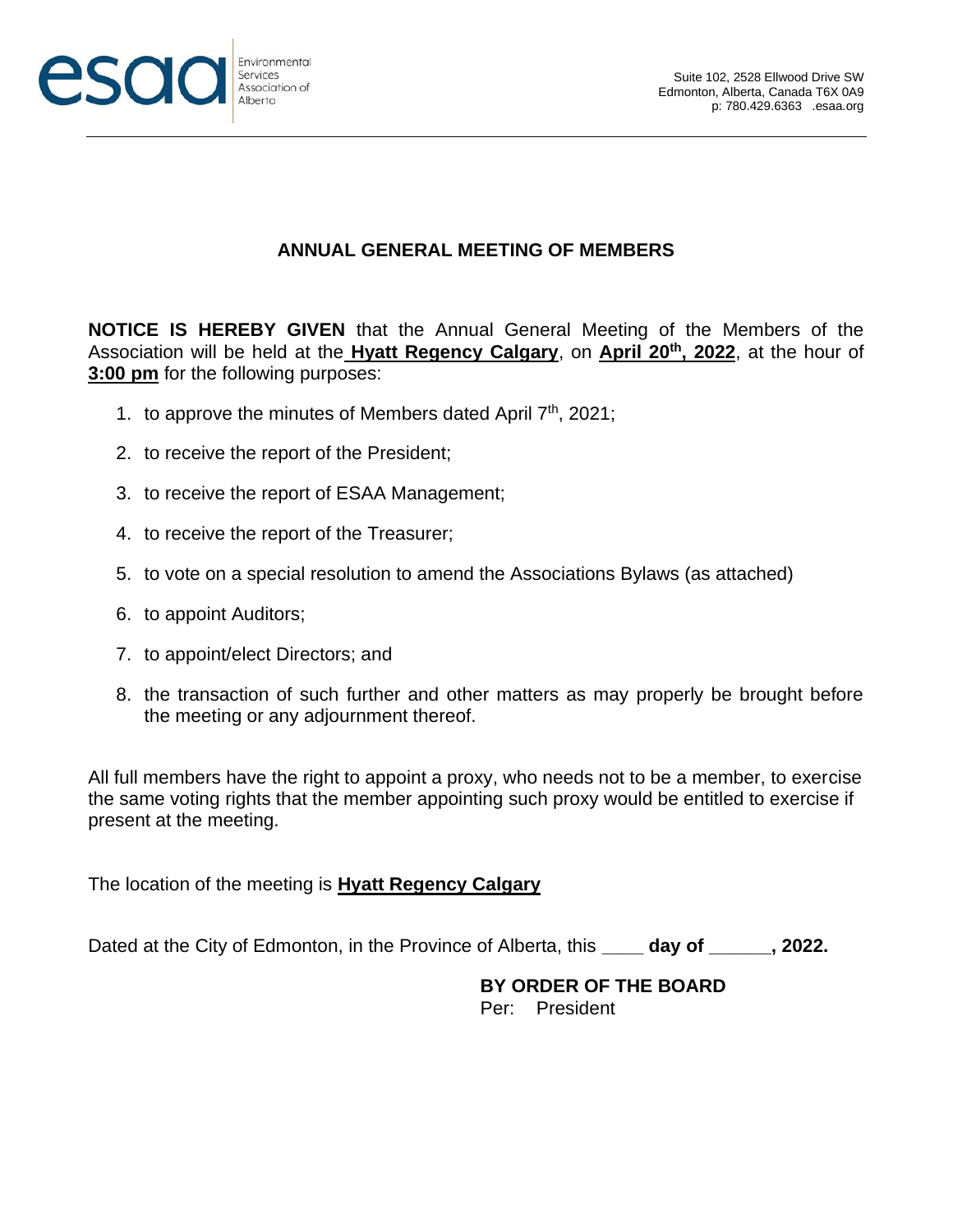

## **ANNUAL GENERAL MEETING OF MEMBERS**

**NOTICE IS HEREBY GIVEN** that the Annual General Meeting of the Members of the Association will be held at the **Hyatt Regency Calgary**, on **April 20th, 2022**, at the hour of **3:00 pm** for the following purposes:

- 1. to approve the minutes of Members dated April 7<sup>th</sup>, 2021;
- 2. to receive the report of the President;
- 3. to receive the report of ESAA Management;
- 4. to receive the report of the Treasurer;
- 5. to vote on a special resolution to amend the Associations Bylaws (as attached)
- 6. to appoint Auditors;
- 7. to appoint/elect Directors; and
- 8. the transaction of such further and other matters as may properly be brought before the meeting or any adjournment thereof.

All full members have the right to appoint a proxy, who needs not to be a member, to exercise the same voting rights that the member appointing such proxy would be entitled to exercise if present at the meeting.

The location of the meeting is **Hyatt Regency Calgary**

Dated at the City of Edmonton, in the Province of Alberta, this **\_\_\_\_ day of \_\_\_\_\_\_, 2022.**

#### **BY ORDER OF THE BOARD** Per: President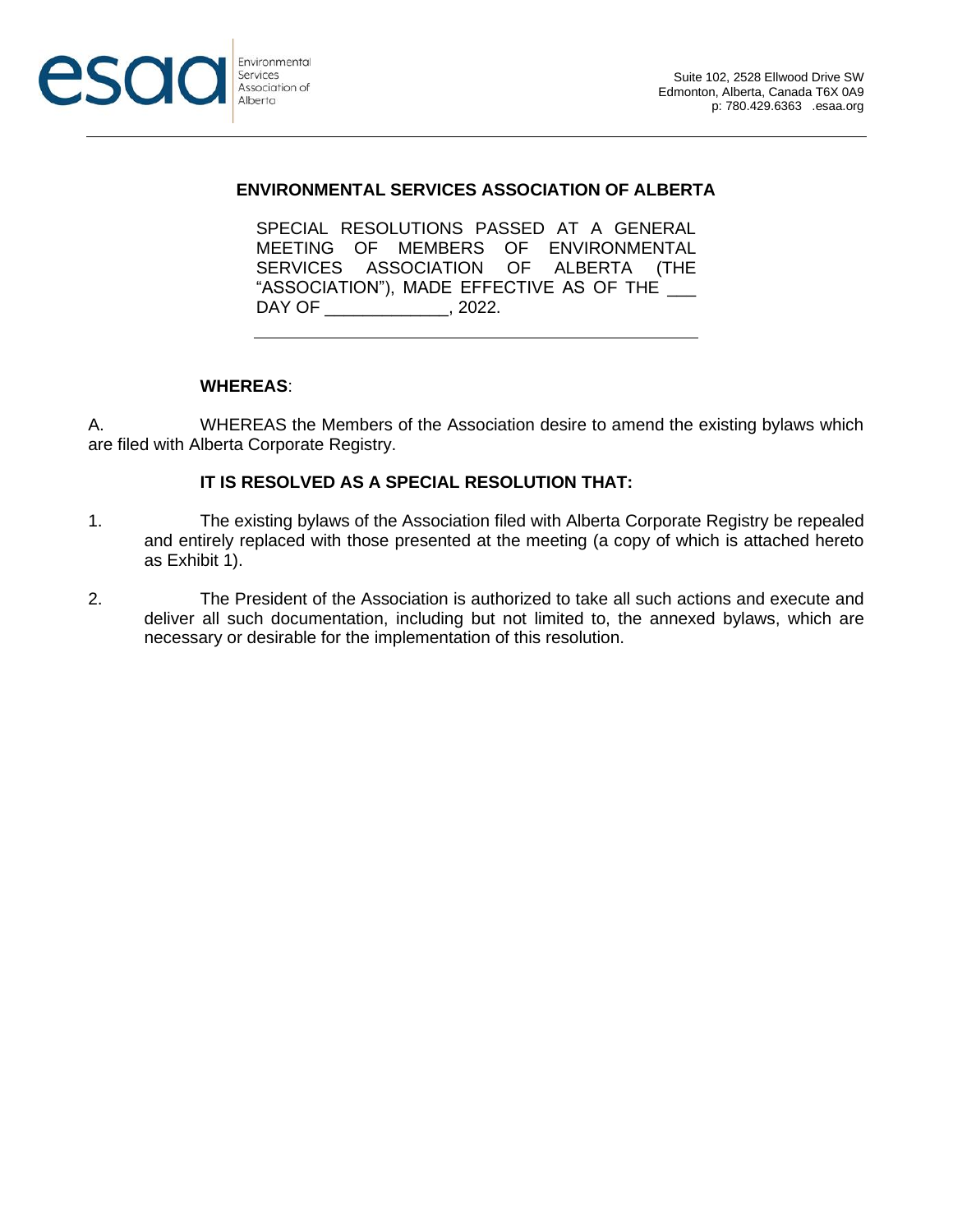

#### **ENVIRONMENTAL SERVICES ASSOCIATION OF ALBERTA**

SPECIAL RESOLUTIONS PASSED AT A GENERAL MEETING OF MEMBERS OF ENVIRONMENTAL SERVICES ASSOCIATION OF ALBERTA (THE "ASSOCIATION"), MADE EFFECTIVE AS OF THE \_\_\_ DAY OF 2022.

#### **WHEREAS**:

A. WHEREAS the Members of the Association desire to amend the existing bylaws which are filed with Alberta Corporate Registry.

#### **IT IS RESOLVED AS A SPECIAL RESOLUTION THAT:**

- 1. The existing bylaws of the Association filed with Alberta Corporate Registry be repealed and entirely replaced with those presented at the meeting (a copy of which is attached hereto as Exhibit 1).
- 2. The President of the Association is authorized to take all such actions and execute and deliver all such documentation, including but not limited to, the annexed bylaws, which are necessary or desirable for the implementation of this resolution.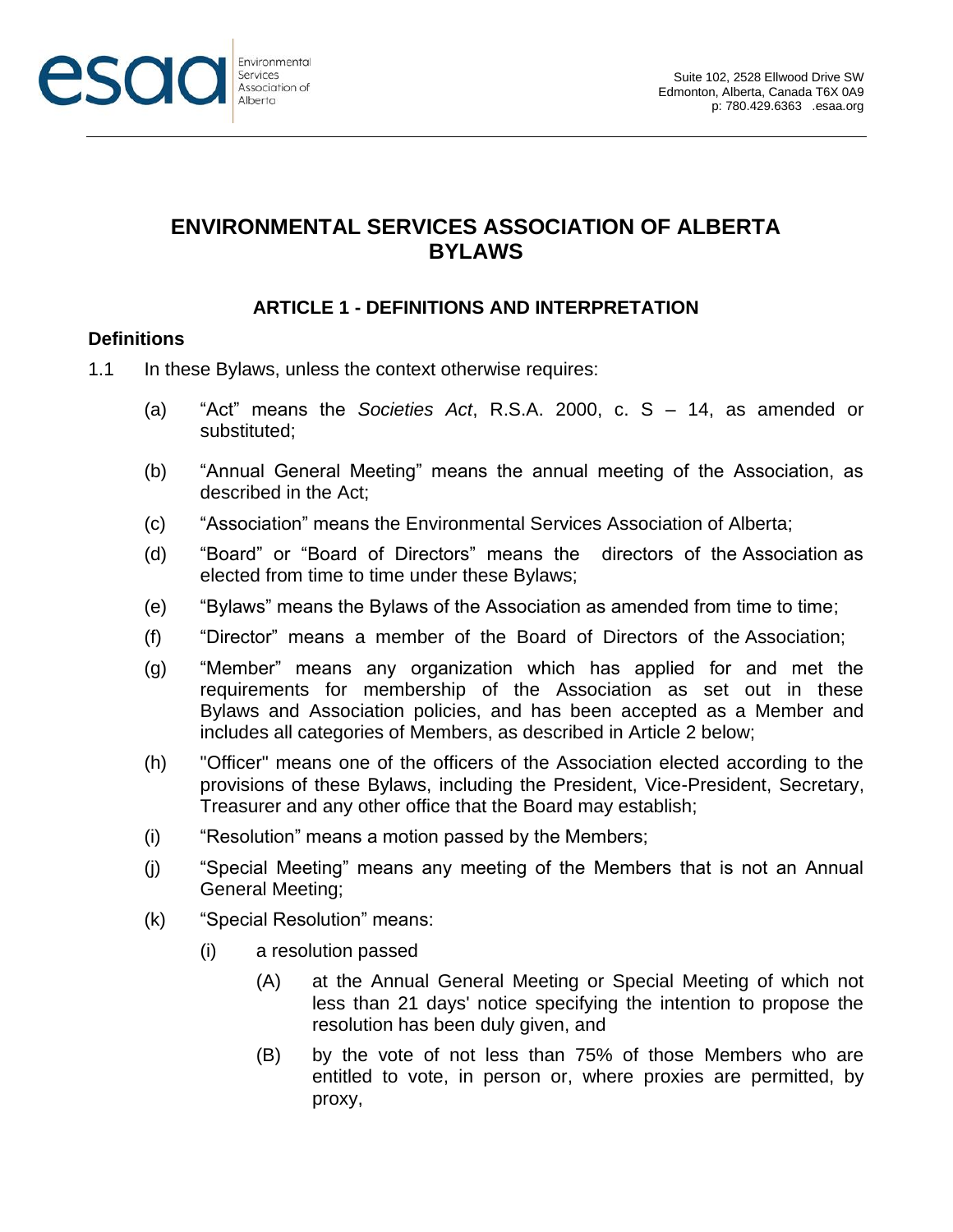

# **ENVIRONMENTAL SERVICES ASSOCIATION OF ALBERTA BYLAWS**

## **ARTICLE 1 - DEFINITIONS AND INTERPRETATION**

### **Definitions**

- 1.1 In these Bylaws, unless the context otherwise requires:
	- (a) "Act" means the *Societies Act*, R.S.A. 2000, c. S 14, as amended or substituted;
	- (b) "Annual General Meeting" means the annual meeting of the Association, as described in the Act;
	- (c) "Association" means the Environmental Services Association of Alberta;
	- (d) "Board" or "Board of Directors" means the directors of the Association as elected from time to time under these Bylaws;
	- (e) "Bylaws" means the Bylaws of the Association as amended from time to time;
	- (f) "Director" means a member of the Board of Directors of the Association;
	- (g) "Member" means any organization which has applied for and met the requirements for membership of the Association as set out in these Bylaws and Association policies, and has been accepted as a Member and includes all categories of Members, as described in Article 2 below;
	- (h) "Officer" means one of the officers of the Association elected according to the provisions of these Bylaws, including the President, Vice-President, Secretary, Treasurer and any other office that the Board may establish;
	- (i) "Resolution" means a motion passed by the Members;
	- (j) "Special Meeting" means any meeting of the Members that is not an Annual General Meeting;
	- (k) "Special Resolution" means:
		- (i) a resolution passed
			- (A) at the Annual General Meeting or Special Meeting of which not less than 21 days' notice specifying the intention to propose the resolution has been duly given, and
			- (B) by the vote of not less than 75% of those Members who are entitled to vote, in person or, where proxies are permitted, by proxy,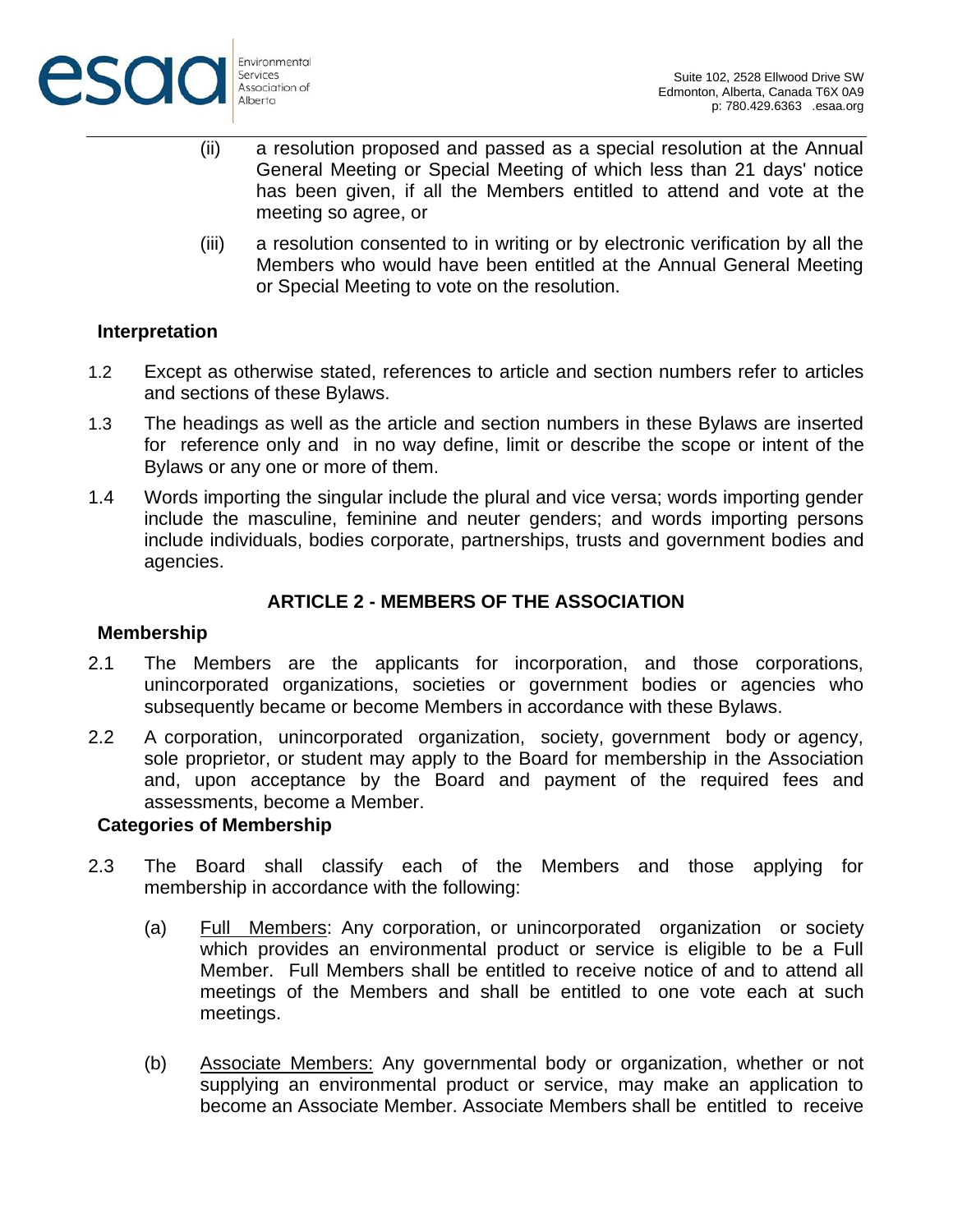

- (ii) a resolution proposed and passed as a special resolution at the Annual General Meeting or Special Meeting of which less than 21 days' notice has been given, if all the Members entitled to attend and vote at the meeting so agree, or
- (iii) a resolution consented to in writing or by electronic verification by all the Members who would have been entitled at the Annual General Meeting or Special Meeting to vote on the resolution.

### **Interpretation**

- 1.2 Except as otherwise stated, references to article and section numbers refer to articles and sections of these Bylaws.
- 1.3 The headings as well as the article and section numbers in these Bylaws are inserted for reference only and in no way define, limit or describe the scope or intent of the Bylaws or any one or more of them.
- 1.4 Words importing the singular include the plural and vice versa; words importing gender include the masculine, feminine and neuter genders; and words importing persons include individuals, bodies corporate, partnerships, trusts and government bodies and agencies.

# **ARTICLE 2 - MEMBERS OF THE ASSOCIATION**

#### **Membership**

- 2.1 The Members are the applicants for incorporation, and those corporations, unincorporated organizations, societies or government bodies or agencies who subsequently became or become Members in accordance with these Bylaws.
- 2.2 A corporation, unincorporated organization, society, government body or agency, sole proprietor, or student may apply to the Board for membership in the Association and, upon acceptance by the Board and payment of the required fees and assessments, become a Member.

#### **Categories of Membership**

- 2.3 The Board shall classify each of the Members and those applying for membership in accordance with the following:
	- (a) Full Members: Any corporation, or unincorporated organization or society which provides an environmental product or service is eligible to be a Full Member. Full Members shall be entitled to receive notice of and to attend all meetings of the Members and shall be entitled to one vote each at such meetings.
	- (b) Associate Members: Any governmental body or organization, whether or not supplying an environmental product or service, may make an application to become an Associate Member. Associate Members shall be entitled to receive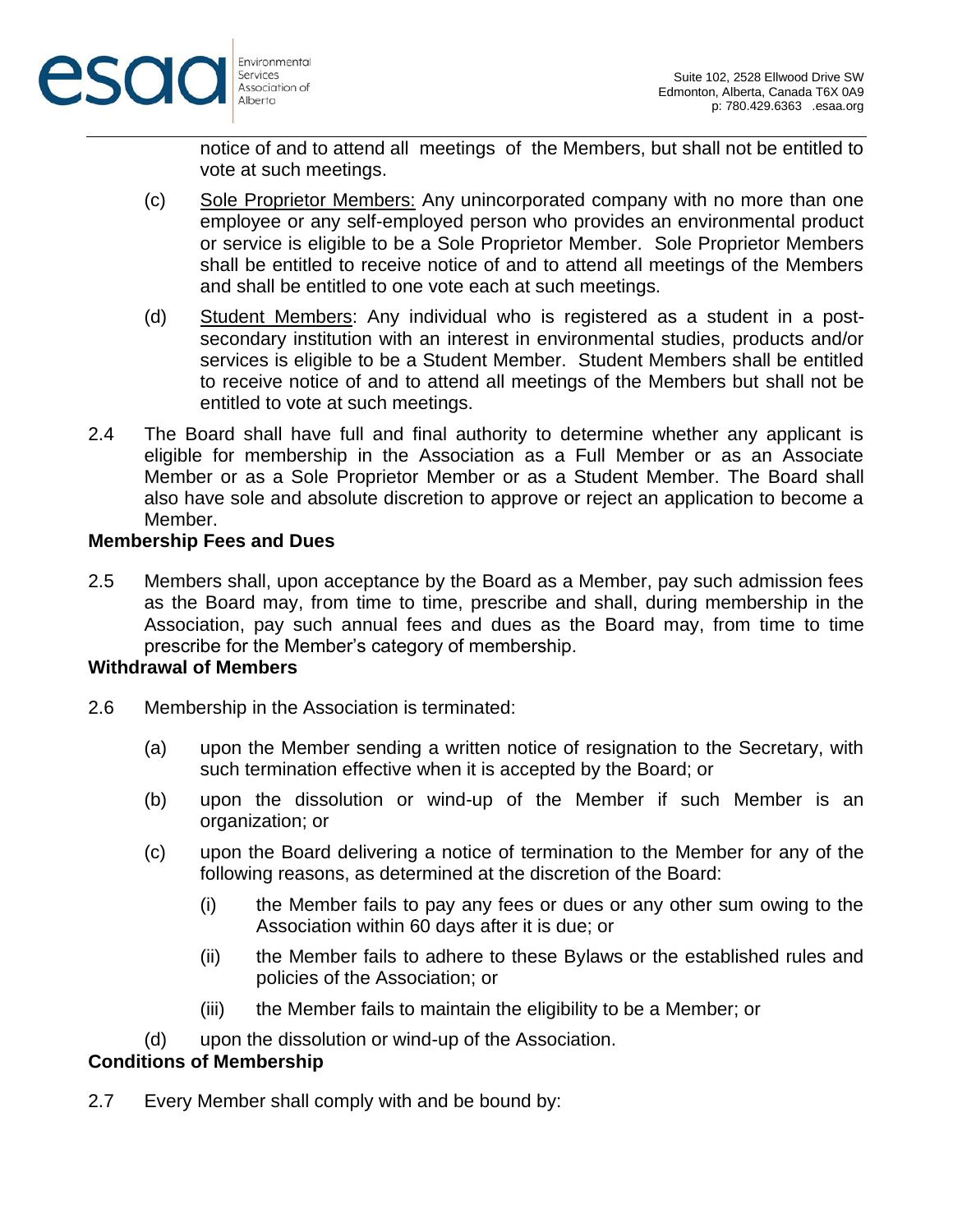

notice of and to attend all meetings of the Members, but shall not be entitled to vote at such meetings.

- (c) Sole Proprietor Members: Any unincorporated company with no more than one employee or any self-employed person who provides an environmental product or service is eligible to be a Sole Proprietor Member. Sole Proprietor Members shall be entitled to receive notice of and to attend all meetings of the Members and shall be entitled to one vote each at such meetings.
- (d) Student Members: Any individual who is registered as a student in a postsecondary institution with an interest in environmental studies, products and/or services is eligible to be a Student Member. Student Members shall be entitled to receive notice of and to attend all meetings of the Members but shall not be entitled to vote at such meetings.
- 2.4 The Board shall have full and final authority to determine whether any applicant is eligible for membership in the Association as a Full Member or as an Associate Member or as a Sole Proprietor Member or as a Student Member. The Board shall also have sole and absolute discretion to approve or reject an application to become a Member.

#### **Membership Fees and Dues**

2.5 Members shall, upon acceptance by the Board as a Member, pay such admission fees as the Board may, from time to time, prescribe and shall, during membership in the Association, pay such annual fees and dues as the Board may, from time to time prescribe for the Member's category of membership.

### **Withdrawal of Members**

- <span id="page-4-0"></span>2.6 Membership in the Association is terminated:
	- (a) upon the Member sending a written notice of resignation to the Secretary, with such termination effective when it is accepted by the Board; or
	- (b) upon the dissolution or wind-up of the Member if such Member is an organization; or
	- (c) upon the Board delivering a notice of termination to the Member for any of the following reasons, as determined at the discretion of the Board:
		- (i) the Member fails to pay any fees or dues or any other sum owing to the Association within 60 days after it is due; or
		- (ii) the Member fails to adhere to these Bylaws or the established rules and policies of the Association; or
		- (iii) the Member fails to maintain the eligibility to be a Member; or
	- (d) upon the dissolution or wind-up of the Association.

### **Conditions of Membership**

2.7 Every Member shall comply with and be bound by: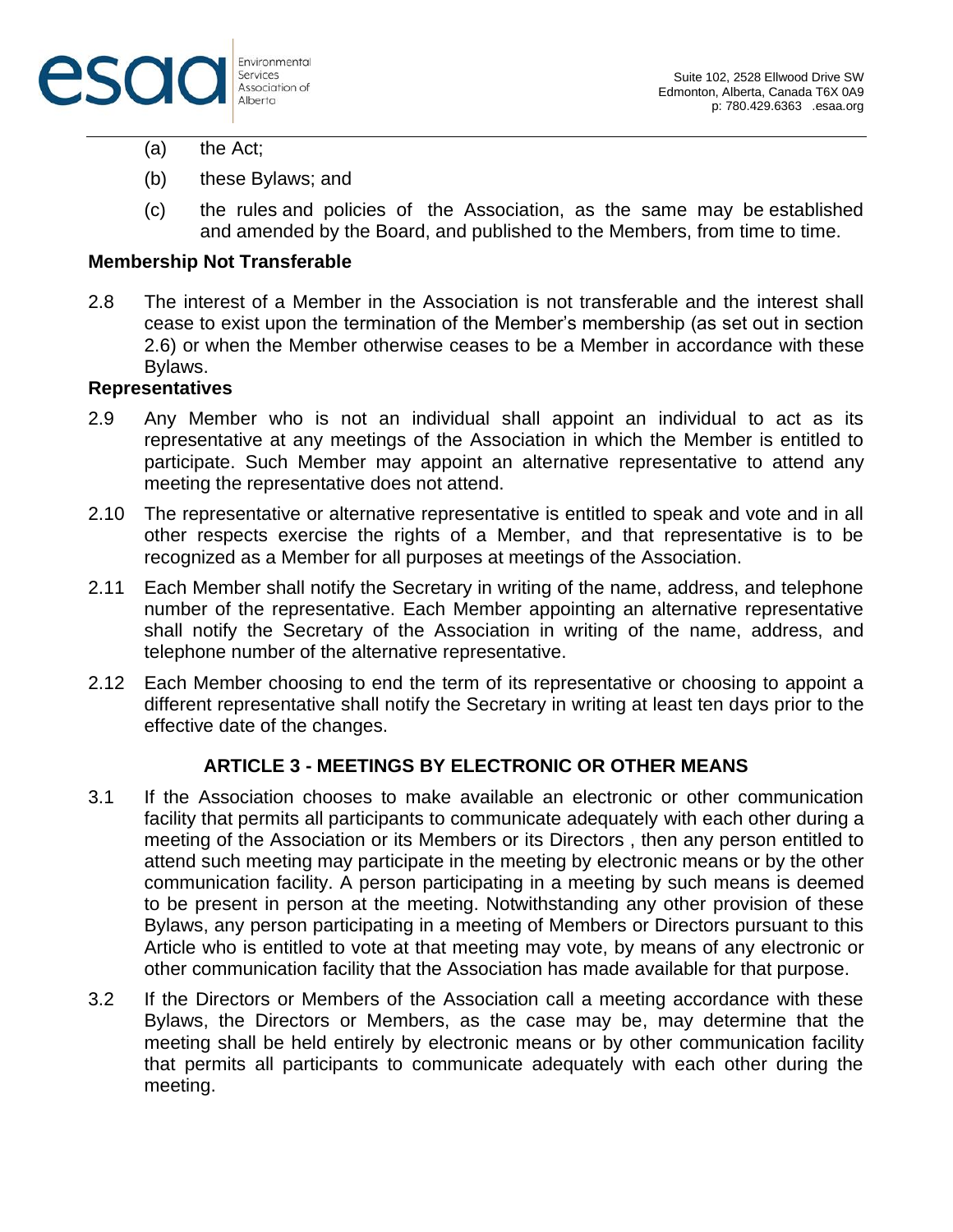

- (a) the Act;
- (b) these Bylaws; and
- (c) the rules and policies of the Association, as the same may be established and amended by the Board, and published to the Members, from time to time.

### **Membership Not Transferable**

2.8 The interest of a Member in the Association is not transferable and the interest shall cease to exist upon the termination of the Member's membership (as set out in section [2.6\)](#page-4-0) or when the Member otherwise ceases to be a Member in accordance with these Bylaws.

### **Representatives**

- 2.9 Any Member who is not an individual shall appoint an individual to act as its representative at any meetings of the Association in which the Member is entitled to participate. Such Member may appoint an alternative representative to attend any meeting the representative does not attend.
- 2.10 The representative or alternative representative is entitled to speak and vote and in all other respects exercise the rights of a Member, and that representative is to be recognized as a Member for all purposes at meetings of the Association.
- 2.11 Each Member shall notify the Secretary in writing of the name, address, and telephone number of the representative. Each Member appointing an alternative representative shall notify the Secretary of the Association in writing of the name, address, and telephone number of the alternative representative.
- 2.12 Each Member choosing to end the term of its representative or choosing to appoint a different representative shall notify the Secretary in writing at least ten days prior to the effective date of the changes.

#### **ARTICLE 3 - MEETINGS BY ELECTRONIC OR OTHER MEANS**

- 3.1 If the Association chooses to make available an electronic or other communication facility that permits all participants to communicate adequately with each other during a meeting of the Association or its Members or its Directors , then any person entitled to attend such meeting may participate in the meeting by electronic means or by the other communication facility. A person participating in a meeting by such means is deemed to be present in person at the meeting. Notwithstanding any other provision of these Bylaws, any person participating in a meeting of Members or Directors pursuant to this Article who is entitled to vote at that meeting may vote, by means of any electronic or other communication facility that the Association has made available for that purpose.
- 3.2 If the Directors or Members of the Association call a meeting accordance with these Bylaws, the Directors or Members, as the case may be, may determine that the meeting shall be held entirely by electronic means or by other communication facility that permits all participants to communicate adequately with each other during the meeting.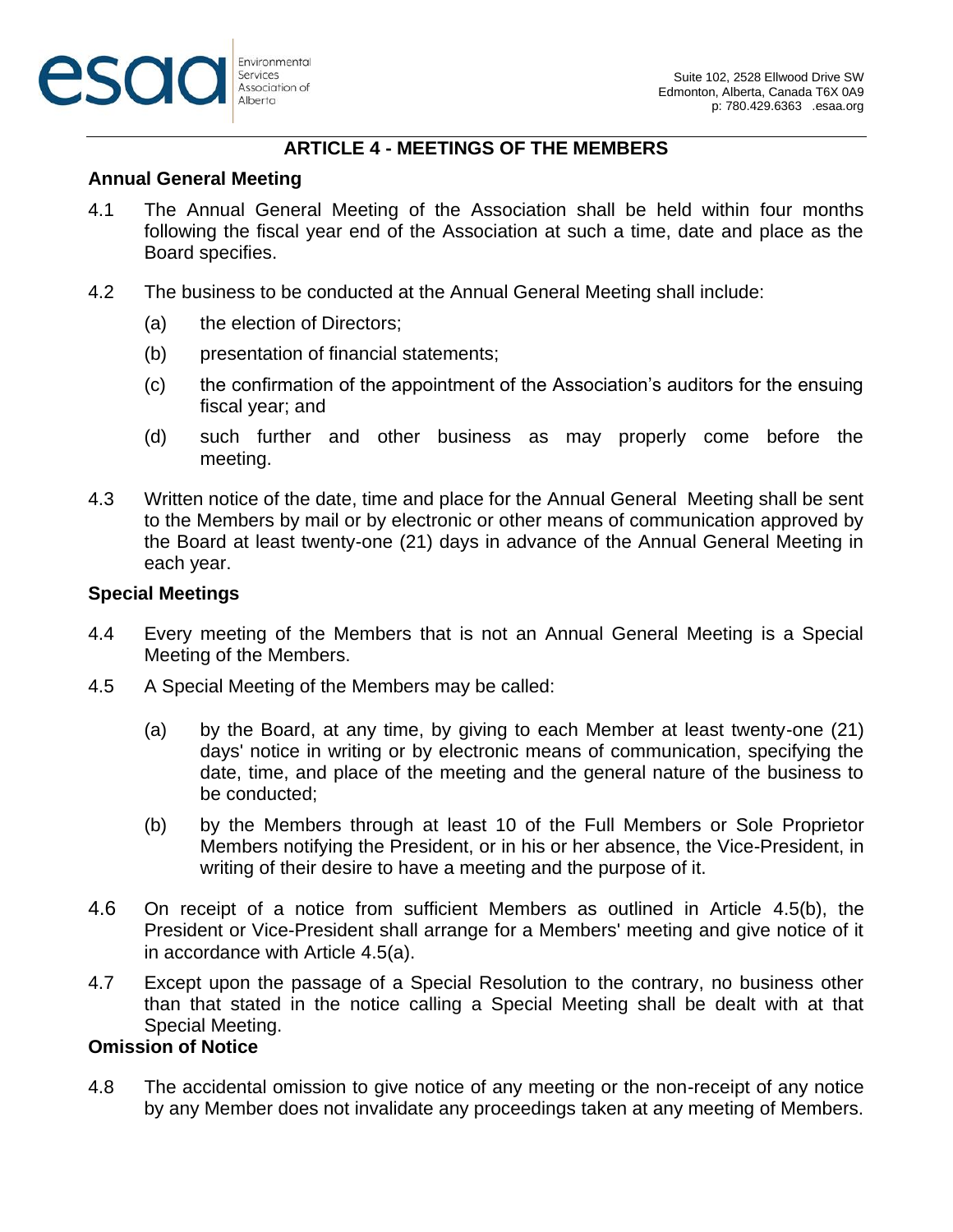# **ARTICLE 4 - MEETINGS OF THE MEMBERS**

### **Annual General Meeting**

- 4.1 The Annual General Meeting of the Association shall be held within four months following the fiscal year end of the Association at such a time, date and place as the Board specifies.
- 4.2 The business to be conducted at the Annual General Meeting shall include:
	- (a) the election of Directors;
	- (b) presentation of financial statements;
	- (c) the confirmation of the appointment of the Association's auditors for the ensuing fiscal year; and
	- (d) such further and other business as may properly come before the meeting.
- 4.3 Written notice of the date, time and place for the Annual General Meeting shall be sent to the Members by mail or by electronic or other means of communication approved by the Board at least twenty-one (21) days in advance of the Annual General Meeting in each year.

### **Special Meetings**

- 4.4 Every meeting of the Members that is not an Annual General Meeting is a Special Meeting of the Members.
- <span id="page-6-1"></span>4.5 A Special Meeting of the Members may be called:
	- (a) by the Board, at any time, by giving to each Member at least twenty-one (21) days' notice in writing or by electronic means of communication, specifying the date, time, and place of the meeting and the general nature of the business to be conducted;
	- (b) by the Members through at least 10 of the Full Members or Sole Proprietor Members notifying the President, or in his or her absence, the Vice-President, in writing of their desire to have a meeting and the purpose of it.
- <span id="page-6-0"></span>4.6 On receipt of a notice from sufficient Members as outlined in Article [4.5\(b\),](#page-6-0) the President or Vice-President shall arrange for a Members' meeting and give notice of it in accordance with Article [4.5\(a\).](#page-6-1)
- 4.7 Except upon the passage of a Special Resolution to the contrary, no business other than that stated in the notice calling a Special Meeting shall be dealt with at that Special Meeting.

## **Omission of Notice**

4.8 The accidental omission to give notice of any meeting or the non-receipt of any notice by any Member does not invalidate any proceedings taken at any meeting of Members.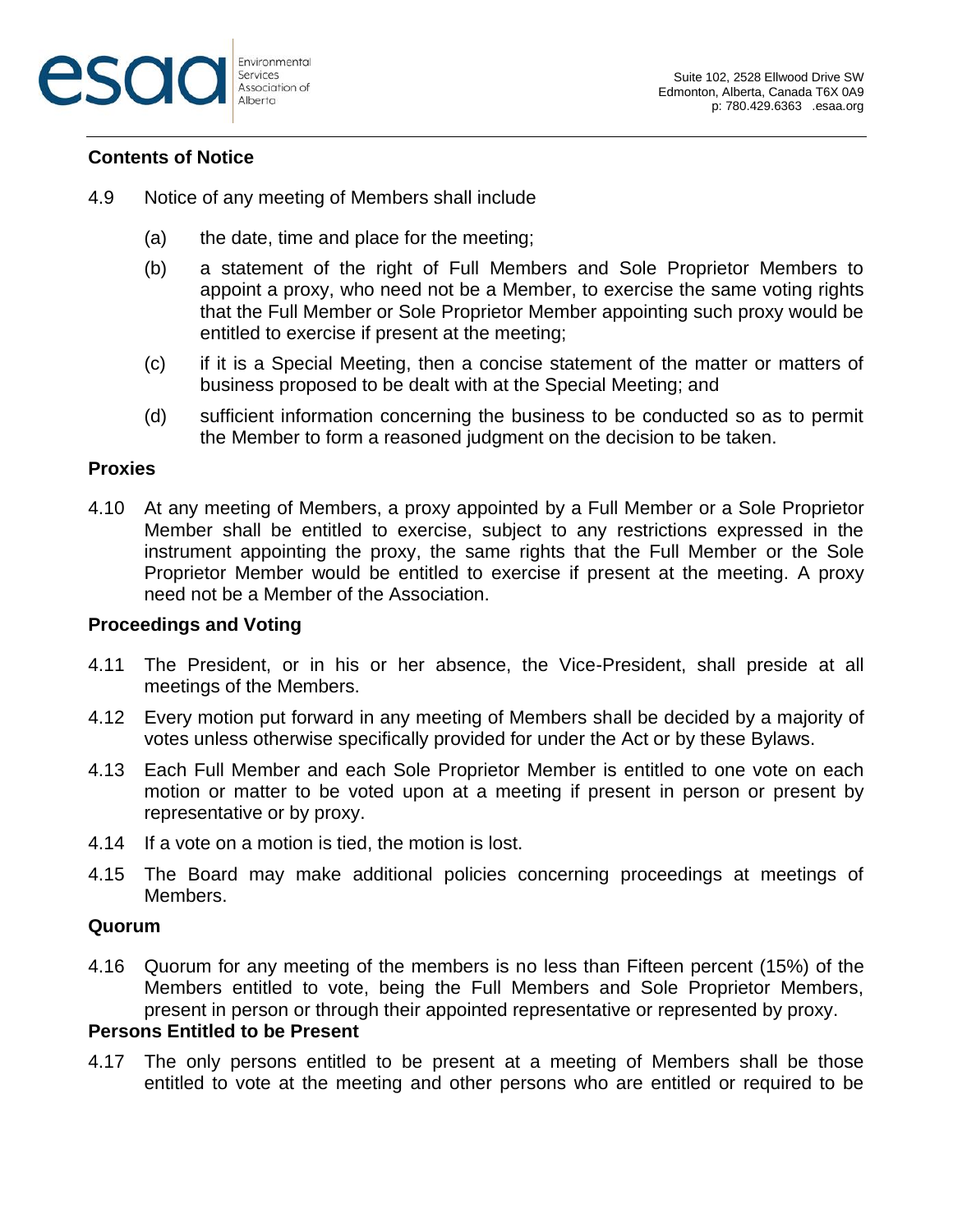

#### **Contents of Notice**

- 4.9 Notice of any meeting of Members shall include
	- (a) the date, time and place for the meeting;
	- (b) a statement of the right of Full Members and Sole Proprietor Members to appoint a proxy, who need not be a Member, to exercise the same voting rights that the Full Member or Sole Proprietor Member appointing such proxy would be entitled to exercise if present at the meeting;
	- (c) if it is a Special Meeting, then a concise statement of the matter or matters of business proposed to be dealt with at the Special Meeting; and
	- (d) sufficient information concerning the business to be conducted so as to permit the Member to form a reasoned judgment on the decision to be taken.

#### **Proxies**

4.10 At any meeting of Members, a proxy appointed by a Full Member or a Sole Proprietor Member shall be entitled to exercise, subject to any restrictions expressed in the instrument appointing the proxy, the same rights that the Full Member or the Sole Proprietor Member would be entitled to exercise if present at the meeting. A proxy need not be a Member of the Association.

#### **Proceedings and Voting**

- 4.11 The President, or in his or her absence, the Vice-President, shall preside at all meetings of the Members.
- 4.12 Every motion put forward in any meeting of Members shall be decided by a majority of votes unless otherwise specifically provided for under the Act or by these Bylaws.
- 4.13 Each Full Member and each Sole Proprietor Member is entitled to one vote on each motion or matter to be voted upon at a meeting if present in person or present by representative or by proxy.
- 4.14 If a vote on a motion is tied, the motion is lost.
- 4.15 The Board may make additional policies concerning proceedings at meetings of Members.

#### **Quorum**

4.16 Quorum for any meeting of the members is no less than Fifteen percent (15%) of the Members entitled to vote, being the Full Members and Sole Proprietor Members, present in person or through their appointed representative or represented by proxy.

#### **Persons Entitled to be Present**

4.17 The only persons entitled to be present at a meeting of Members shall be those entitled to vote at the meeting and other persons who are entitled or required to be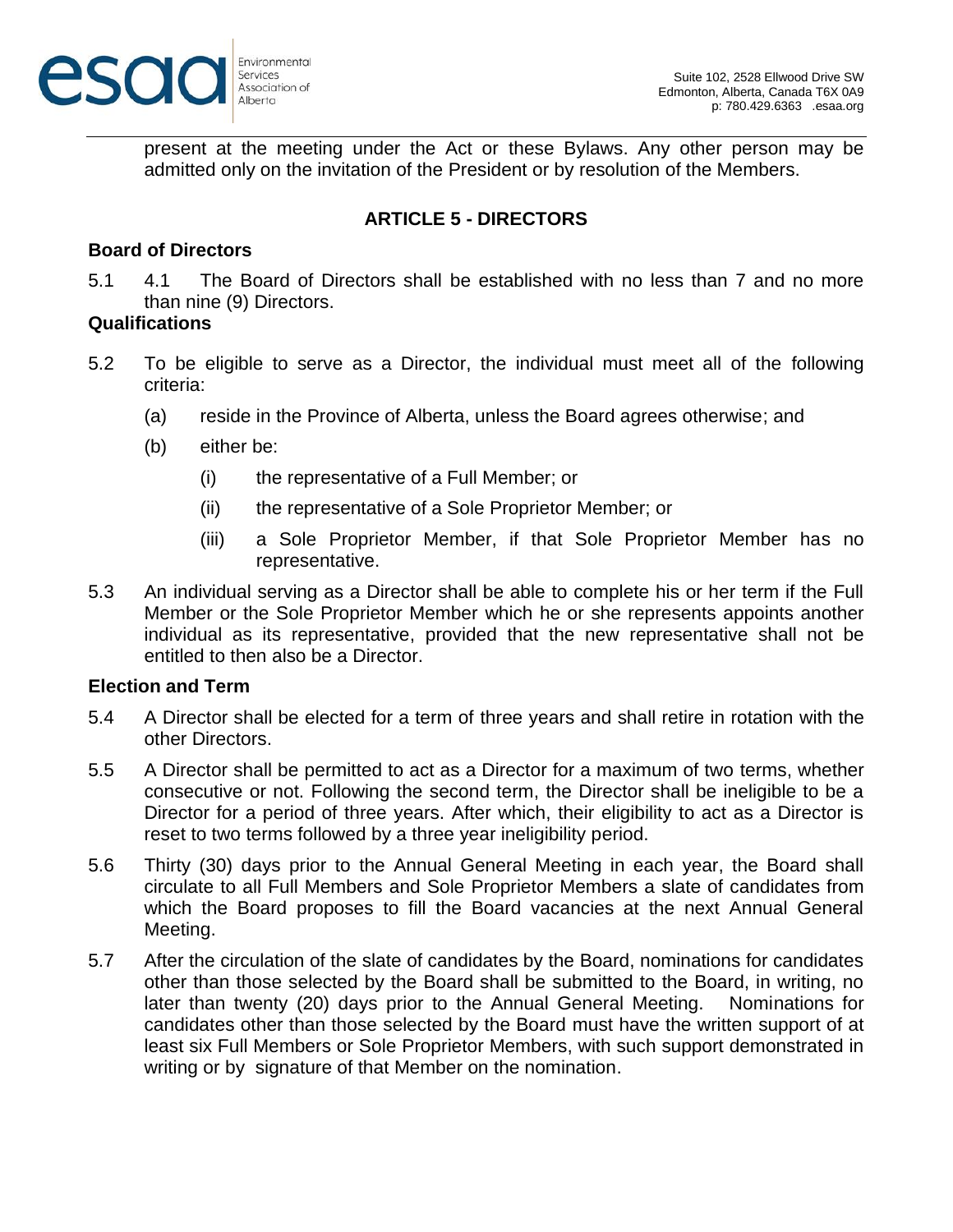

present at the meeting under the Act or these Bylaws. Any other person may be admitted only on the invitation of the President or by resolution of the Members.

## **ARTICLE 5 - DIRECTORS**

### **Board of Directors**

5.1 4.1 The Board of Directors shall be established with no less than 7 and no more than nine (9) Directors.

### **Qualifications**

- 5.2 To be eligible to serve as a Director, the individual must meet all of the following criteria:
	- (a) reside in the Province of Alberta, unless the Board agrees otherwise; and
	- (b) either be:
		- (i) the representative of a Full Member; or
		- (ii) the representative of a Sole Proprietor Member; or
		- (iii) a Sole Proprietor Member, if that Sole Proprietor Member has no representative.
- 5.3 An individual serving as a Director shall be able to complete his or her term if the Full Member or the Sole Proprietor Member which he or she represents appoints another individual as its representative, provided that the new representative shall not be entitled to then also be a Director.

### **Election and Term**

- 5.4 A Director shall be elected for a term of three years and shall retire in rotation with the other Directors.
- 5.5 A Director shall be permitted to act as a Director for a maximum of two terms, whether consecutive or not. Following the second term, the Director shall be ineligible to be a Director for a period of three years. After which, their eligibility to act as a Director is reset to two terms followed by a three year ineligibility period.
- 5.6 Thirty (30) days prior to the Annual General Meeting in each year, the Board shall circulate to all Full Members and Sole Proprietor Members a slate of candidates from which the Board proposes to fill the Board vacancies at the next Annual General Meeting.
- 5.7 After the circulation of the slate of candidates by the Board, nominations for candidates other than those selected by the Board shall be submitted to the Board, in writing, no later than twenty (20) days prior to the Annual General Meeting. Nominations for candidates other than those selected by the Board must have the written support of at least six Full Members or Sole Proprietor Members, with such support demonstrated in writing or by signature of that Member on the nomination.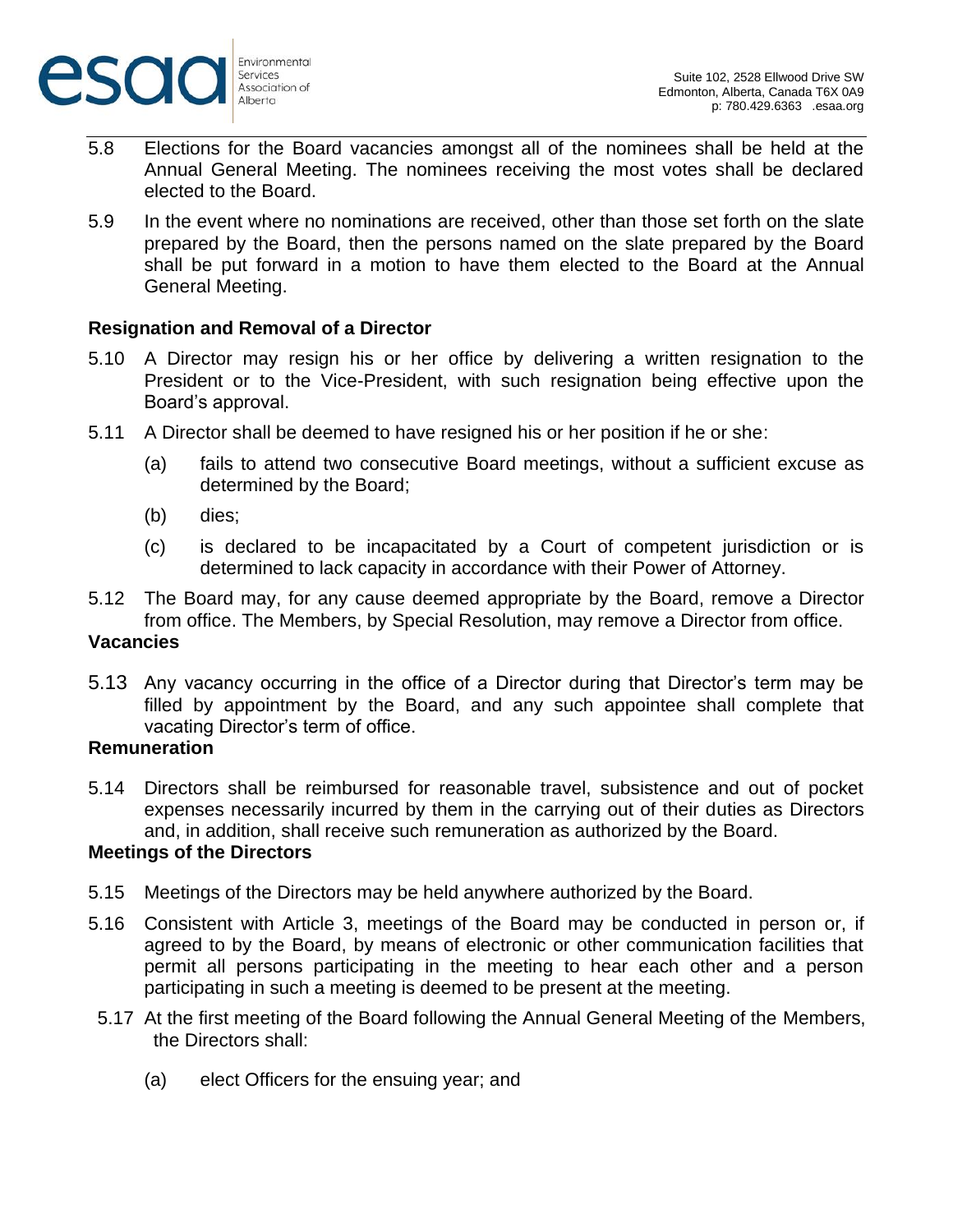

- 5.8 Elections for the Board vacancies amongst all of the nominees shall be held at the Annual General Meeting. The nominees receiving the most votes shall be declared elected to the Board.
- 5.9 In the event where no nominations are received, other than those set forth on the slate prepared by the Board, then the persons named on the slate prepared by the Board shall be put forward in a motion to have them elected to the Board at the Annual General Meeting.

### **Resignation and Removal of a Director**

- 5.10 A Director may resign his or her office by delivering a written resignation to the President or to the Vice-President, with such resignation being effective upon the Board's approval.
- 5.11 A Director shall be deemed to have resigned his or her position if he or she:
	- (a) fails to attend two consecutive Board meetings, without a sufficient excuse as determined by the Board;
	- (b) dies;
	- (c) is declared to be incapacitated by a Court of competent jurisdiction or is determined to lack capacity in accordance with their Power of Attorney.
- 5.12 The Board may, for any cause deemed appropriate by the Board, remove a Director from office. The Members, by Special Resolution, may remove a Director from office.

### **Vacancies**

5.13 Any vacancy occurring in the office of a Director during that Director's term may be filled by appointment by the Board, and any such appointee shall complete that vacating Director's term of office.

### **Remuneration**

5.14 Directors shall be reimbursed for reasonable travel, subsistence and out of pocket expenses necessarily incurred by them in the carrying out of their duties as Directors and, in addition, shall receive such remuneration as authorized by the Board.

### **Meetings of the Directors**

- 5.15 Meetings of the Directors may be held anywhere authorized by the Board.
- 5.16 Consistent with Article 3, meetings of the Board may be conducted in person or, if agreed to by the Board, by means of electronic or other communication facilities that permit all persons participating in the meeting to hear each other and a person participating in such a meeting is deemed to be present at the meeting.
- 5.17 At the first meeting of the Board following the Annual General Meeting of the Members, the Directors shall:
	- (a) elect Officers for the ensuing year; and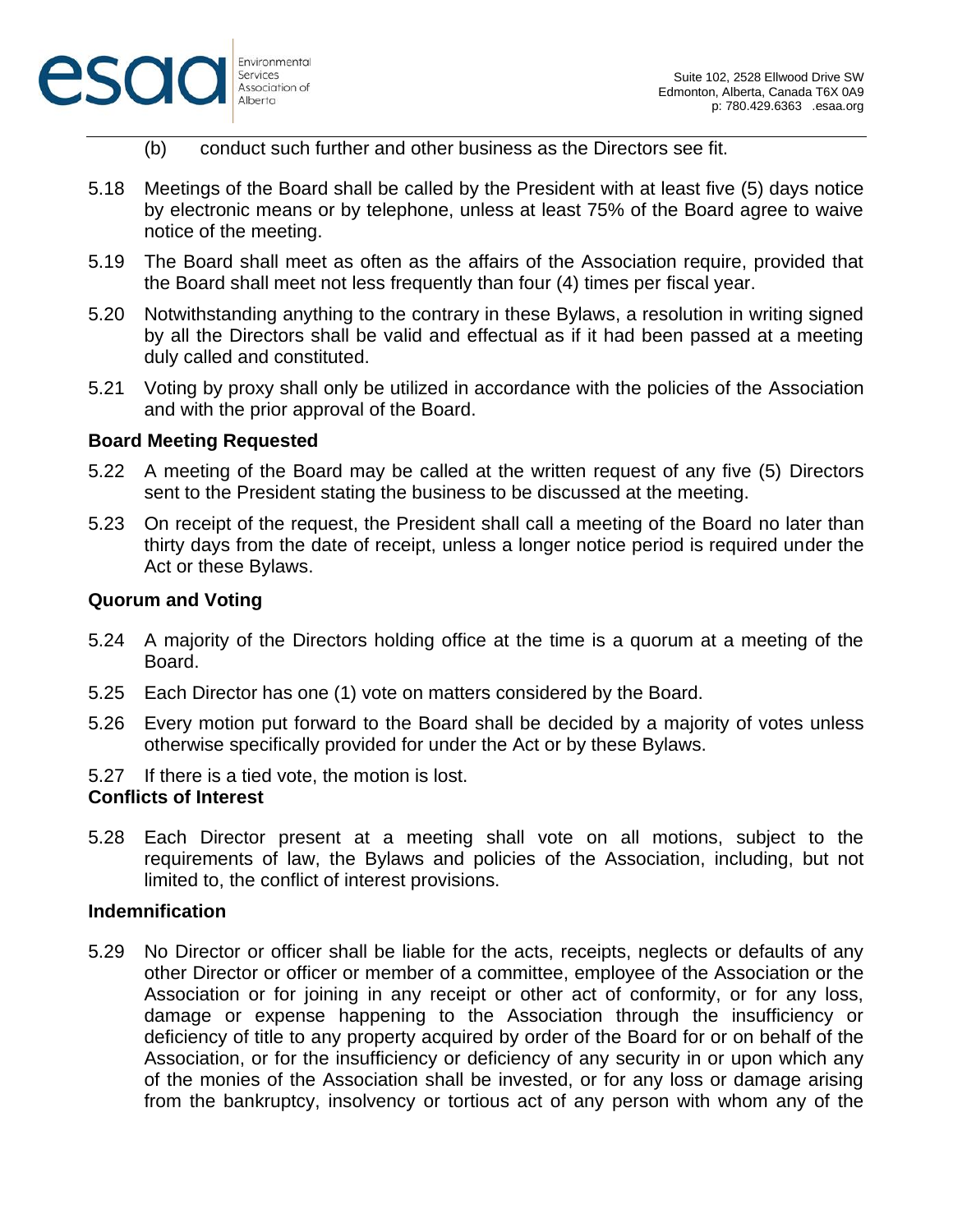

- Environmental Association of
- (b) conduct such further and other business as the Directors see fit.
- 5.18 Meetings of the Board shall be called by the President with at least five (5) days notice by electronic means or by telephone, unless at least 75% of the Board agree to waive notice of the meeting.
- 5.19 The Board shall meet as often as the affairs of the Association require, provided that the Board shall meet not less frequently than four (4) times per fiscal year.
- 5.20 Notwithstanding anything to the contrary in these Bylaws, a resolution in writing signed by all the Directors shall be valid and effectual as if it had been passed at a meeting duly called and constituted.
- 5.21 Voting by proxy shall only be utilized in accordance with the policies of the Association and with the prior approval of the Board.

### **Board Meeting Requested**

- 5.22 A meeting of the Board may be called at the written request of any five (5) Directors sent to the President stating the business to be discussed at the meeting.
- 5.23 On receipt of the request, the President shall call a meeting of the Board no later than thirty days from the date of receipt, unless a longer notice period is required under the Act or these Bylaws.

## **Quorum and Voting**

- 5.24 A majority of the Directors holding office at the time is a quorum at a meeting of the Board.
- 5.25 Each Director has one (1) vote on matters considered by the Board.
- 5.26 Every motion put forward to the Board shall be decided by a majority of votes unless otherwise specifically provided for under the Act or by these Bylaws.
- 5.27 If there is a tied vote, the motion is lost.

## **Conflicts of Interest**

5.28 Each Director present at a meeting shall vote on all motions, subject to the requirements of law, the Bylaws and policies of the Association, including, but not limited to, the conflict of interest provisions.

### **Indemnification**

5.29 No Director or officer shall be liable for the acts, receipts, neglects or defaults of any other Director or officer or member of a committee, employee of the Association or the Association or for joining in any receipt or other act of conformity, or for any loss, damage or expense happening to the Association through the insufficiency or deficiency of title to any property acquired by order of the Board for or on behalf of the Association, or for the insufficiency or deficiency of any security in or upon which any of the monies of the Association shall be invested, or for any loss or damage arising from the bankruptcy, insolvency or tortious act of any person with whom any of the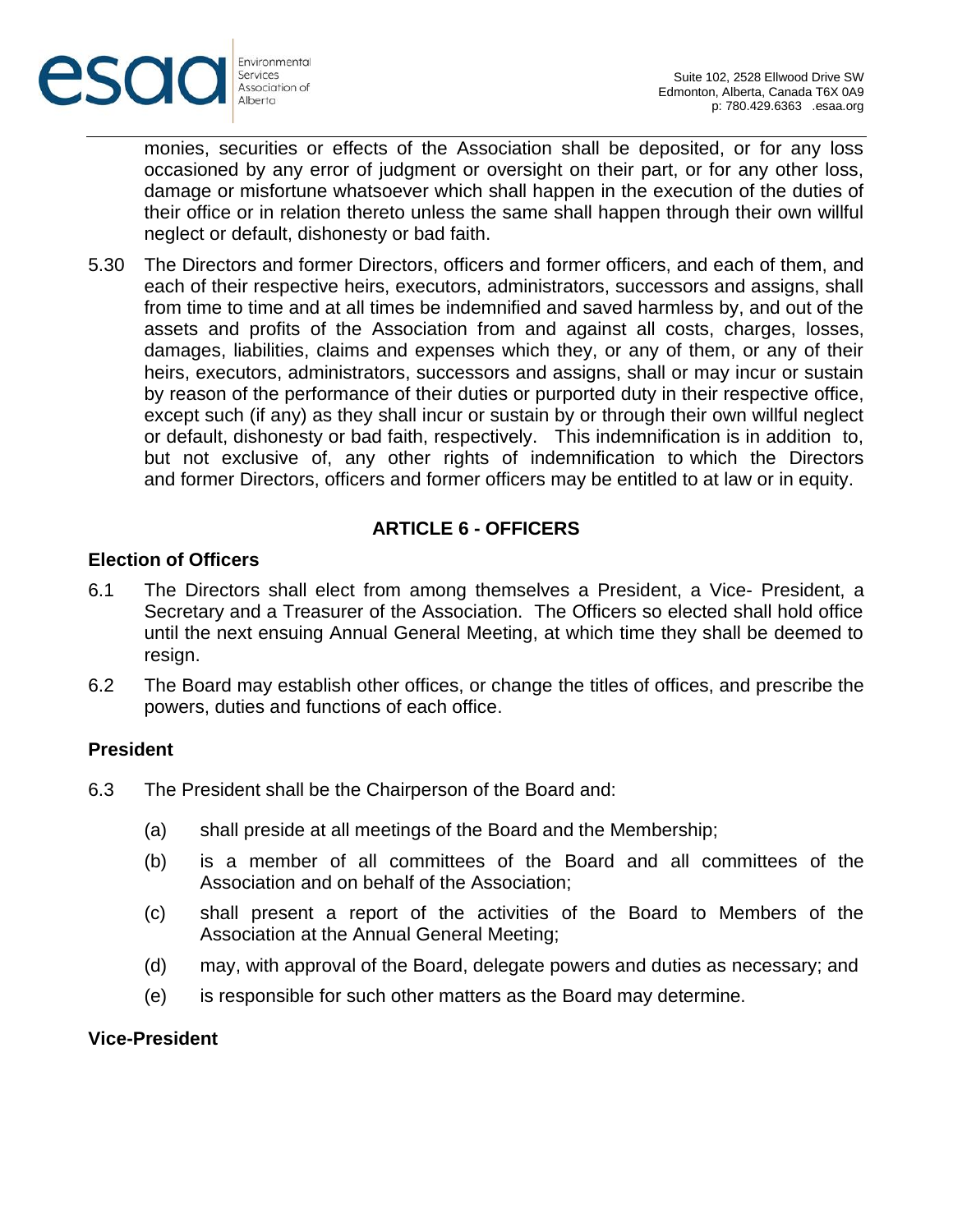

monies, securities or effects of the Association shall be deposited, or for any loss occasioned by any error of judgment or oversight on their part, or for any other loss, damage or misfortune whatsoever which shall happen in the execution of the duties of their office or in relation thereto unless the same shall happen through their own willful neglect or default, dishonesty or bad faith.

5.30 The Directors and former Directors, officers and former officers, and each of them, and each of their respective heirs, executors, administrators, successors and assigns, shall from time to time and at all times be indemnified and saved harmless by, and out of the assets and profits of the Association from and against all costs, charges, losses, damages, liabilities, claims and expenses which they, or any of them, or any of their heirs, executors, administrators, successors and assigns, shall or may incur or sustain by reason of the performance of their duties or purported duty in their respective office, except such (if any) as they shall incur or sustain by or through their own willful neglect or default, dishonesty or bad faith, respectively. This indemnification is in addition to, but not exclusive of, any other rights of indemnification to which the Directors and former Directors, officers and former officers may be entitled to at law or in equity.

## **ARTICLE 6 - OFFICERS**

### **Election of Officers**

- 6.1 The Directors shall elect from among themselves a President, a Vice- President, a Secretary and a Treasurer of the Association. The Officers so elected shall hold office until the next ensuing Annual General Meeting, at which time they shall be deemed to resign.
- 6.2 The Board may establish other offices, or change the titles of offices, and prescribe the powers, duties and functions of each office.

#### **President**

- 6.3 The President shall be the Chairperson of the Board and:
	- (a) shall preside at all meetings of the Board and the Membership;
	- (b) is a member of all committees of the Board and all committees of the Association and on behalf of the Association;
	- (c) shall present a report of the activities of the Board to Members of the Association at the Annual General Meeting;
	- (d) may, with approval of the Board, delegate powers and duties as necessary; and
	- (e) is responsible for such other matters as the Board may determine.

### **Vice-President**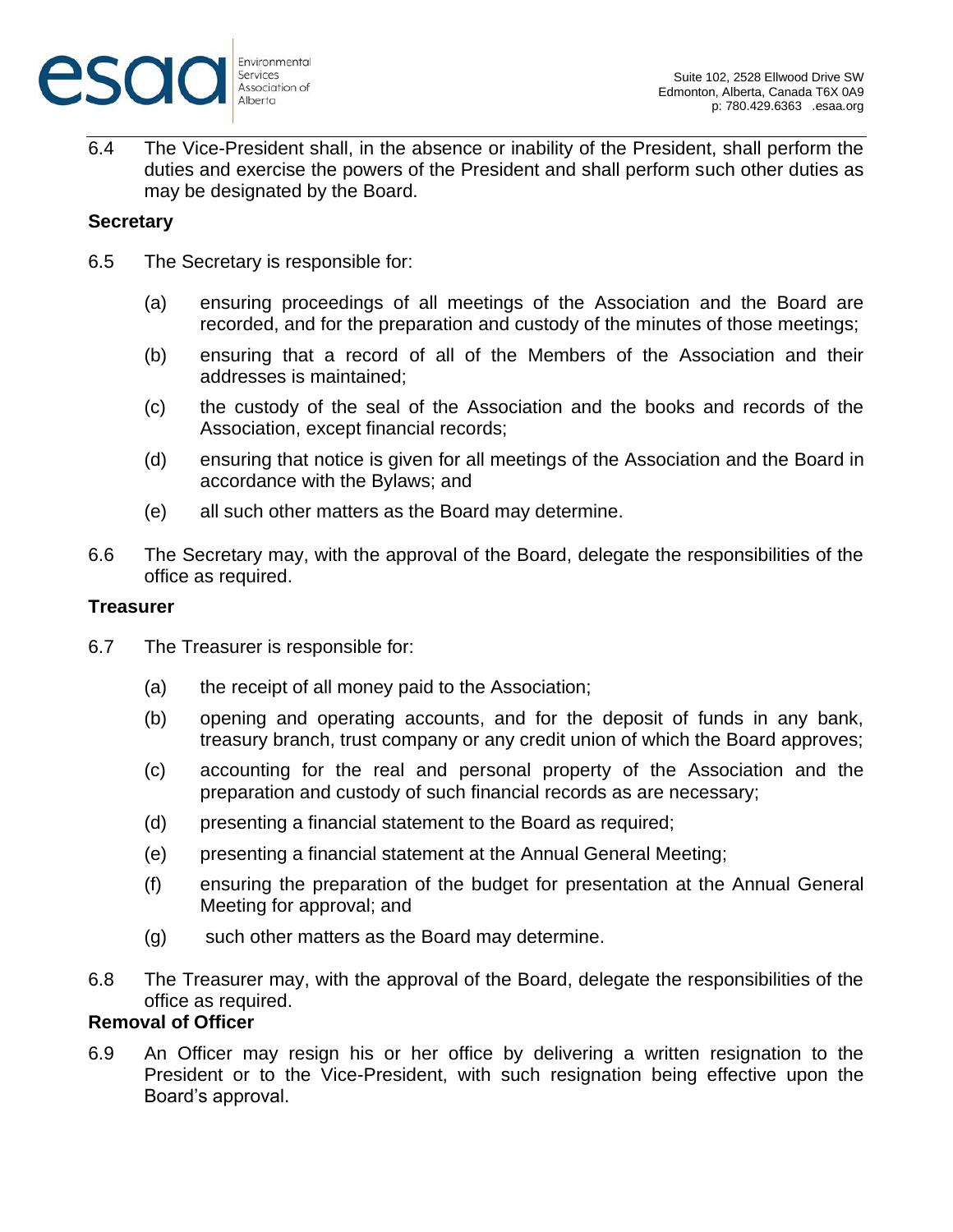

6.4 The Vice-President shall, in the absence or inability of the President, shall perform the duties and exercise the powers of the President and shall perform such other duties as may be designated by the Board.

### **Secretary**

- 6.5 The Secretary is responsible for:
	- (a) ensuring proceedings of all meetings of the Association and the Board are recorded, and for the preparation and custody of the minutes of those meetings;
	- (b) ensuring that a record of all of the Members of the Association and their addresses is maintained;
	- (c) the custody of the seal of the Association and the books and records of the Association, except financial records;
	- (d) ensuring that notice is given for all meetings of the Association and the Board in accordance with the Bylaws; and
	- (e) all such other matters as the Board may determine.
- 6.6 The Secretary may, with the approval of the Board, delegate the responsibilities of the office as required.

### **Treasurer**

- 6.7 The Treasurer is responsible for:
	- (a) the receipt of all money paid to the Association;
	- (b) opening and operating accounts, and for the deposit of funds in any bank, treasury branch, trust company or any credit union of which the Board approves;
	- (c) accounting for the real and personal property of the Association and the preparation and custody of such financial records as are necessary;
	- (d) presenting a financial statement to the Board as required;
	- (e) presenting a financial statement at the Annual General Meeting;
	- (f) ensuring the preparation of the budget for presentation at the Annual General Meeting for approval; and
	- (g) such other matters as the Board may determine.
- 6.8 The Treasurer may, with the approval of the Board, delegate the responsibilities of the office as required.

## **Removal of Officer**

6.9 An Officer may resign his or her office by delivering a written resignation to the President or to the Vice-President, with such resignation being effective upon the Board's approval.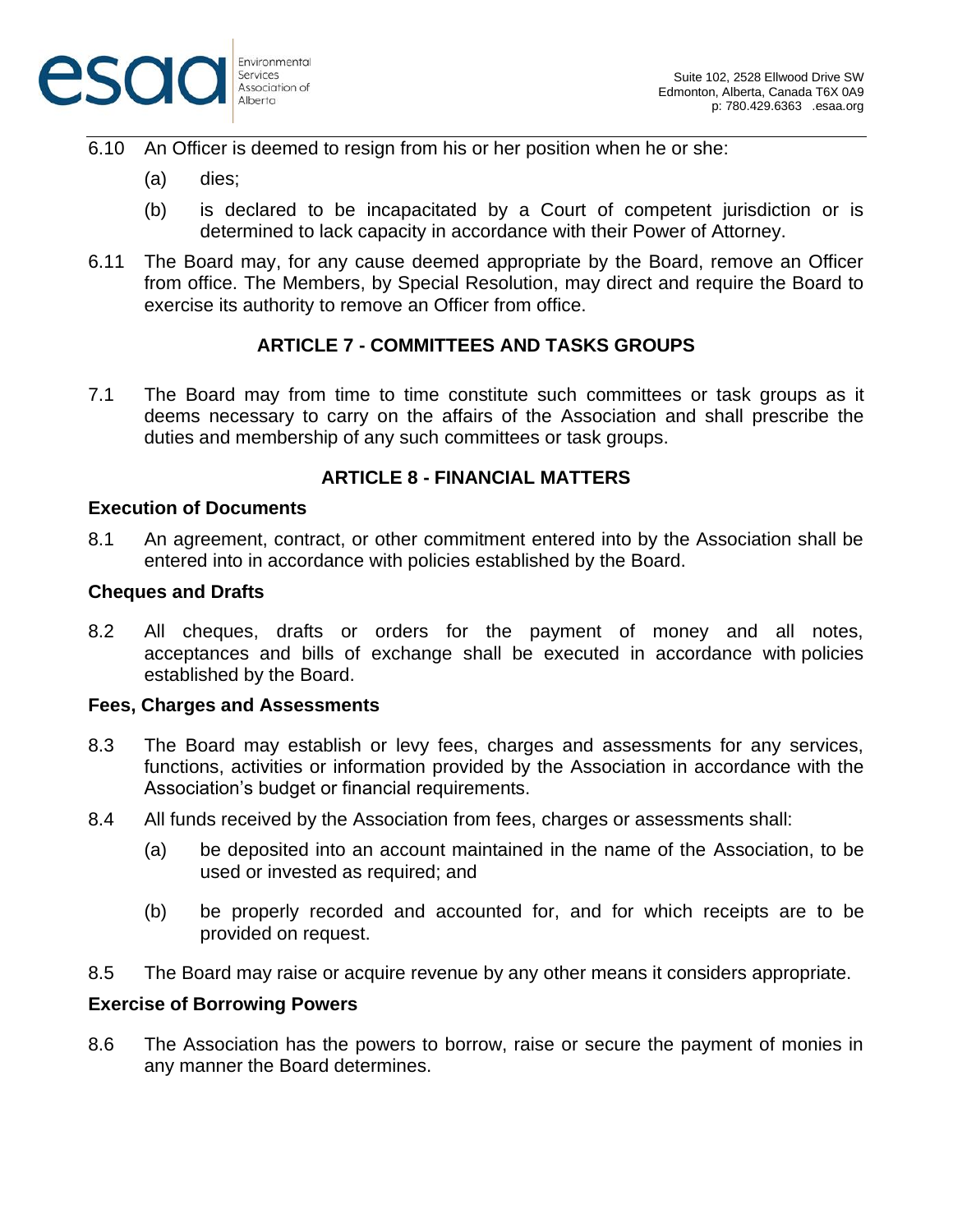

- 6.10 An Officer is deemed to resign from his or her position when he or she:
	- (a) dies;
	- (b) is declared to be incapacitated by a Court of competent jurisdiction or is determined to lack capacity in accordance with their Power of Attorney.
- 6.11 The Board may, for any cause deemed appropriate by the Board, remove an Officer from office. The Members, by Special Resolution, may direct and require the Board to exercise its authority to remove an Officer from office.

# **ARTICLE 7 - COMMITTEES AND TASKS GROUPS**

7.1 The Board may from time to time constitute such committees or task groups as it deems necessary to carry on the affairs of the Association and shall prescribe the duties and membership of any such committees or task groups.

## **ARTICLE 8 - FINANCIAL MATTERS**

#### **Execution of Documents**

8.1 An agreement, contract, or other commitment entered into by the Association shall be entered into in accordance with policies established by the Board.

#### **Cheques and Drafts**

8.2 All cheques, drafts or orders for the payment of money and all notes, acceptances and bills of exchange shall be executed in accordance with policies established by the Board.

#### **Fees, Charges and Assessments**

- 8.3 The Board may establish or levy fees, charges and assessments for any services, functions, activities or information provided by the Association in accordance with the Association's budget or financial requirements.
- 8.4 All funds received by the Association from fees, charges or assessments shall:
	- (a) be deposited into an account maintained in the name of the Association, to be used or invested as required; and
	- (b) be properly recorded and accounted for, and for which receipts are to be provided on request.
- 8.5 The Board may raise or acquire revenue by any other means it considers appropriate.

#### **Exercise of Borrowing Powers**

8.6 The Association has the powers to borrow, raise or secure the payment of monies in any manner the Board determines.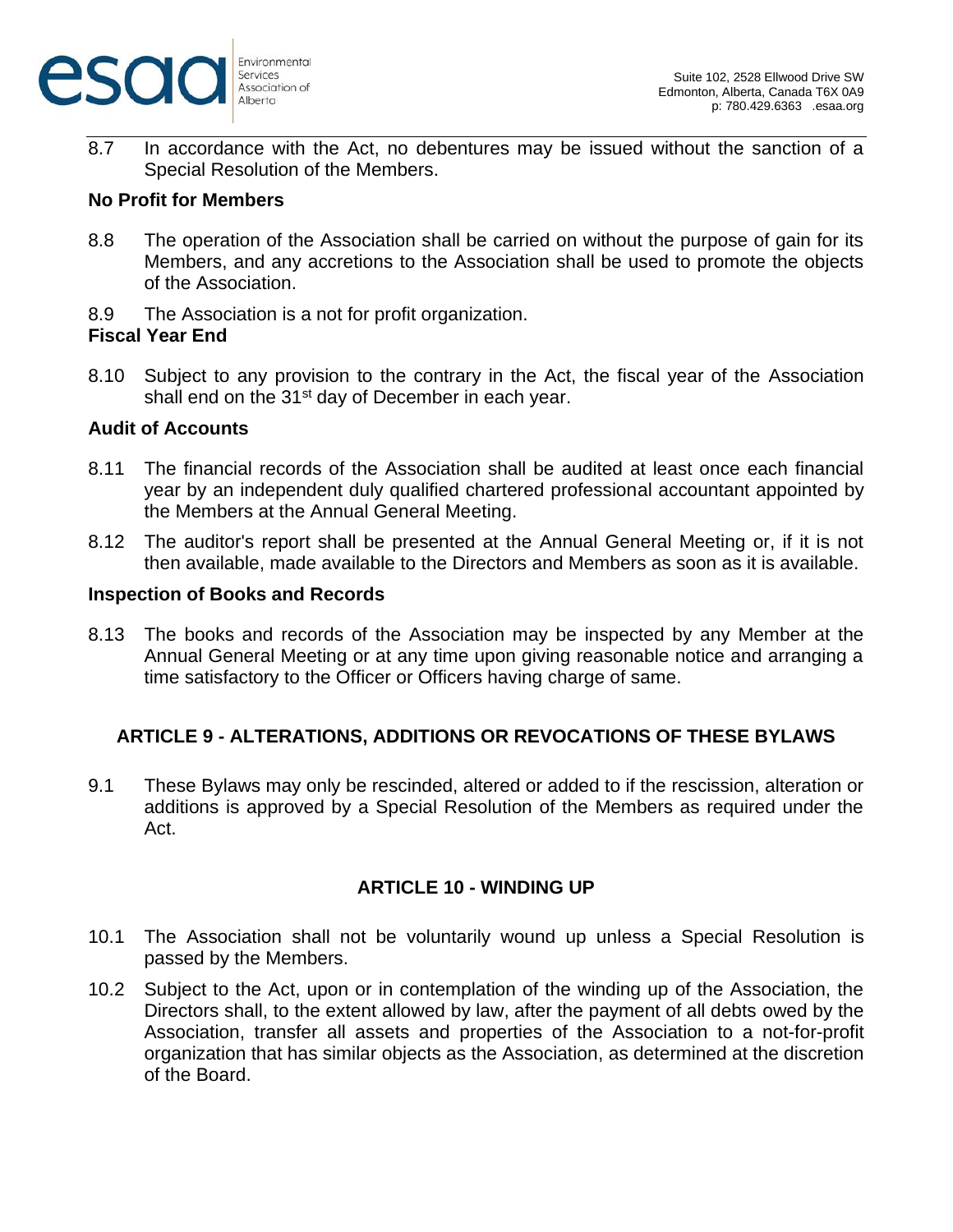

8.7 In accordance with the Act, no debentures may be issued without the sanction of a Special Resolution of the Members.

### **No Profit for Members**

- 8.8 The operation of the Association shall be carried on without the purpose of gain for its Members, and any accretions to the Association shall be used to promote the objects of the Association.
- 8.9 The Association is a not for profit organization.

#### **Fiscal Year End**

8.10 Subject to any provision to the contrary in the Act, the fiscal year of the Association shall end on the 31<sup>st</sup> day of December in each year.

### **Audit of Accounts**

- 8.11 The financial records of the Association shall be audited at least once each financial year by an independent duly qualified chartered professional accountant appointed by the Members at the Annual General Meeting.
- 8.12 The auditor's report shall be presented at the Annual General Meeting or, if it is not then available, made available to the Directors and Members as soon as it is available.

### **Inspection of Books and Records**

8.13 The books and records of the Association may be inspected by any Member at the Annual General Meeting or at any time upon giving reasonable notice and arranging a time satisfactory to the Officer or Officers having charge of same.

### **ARTICLE 9 - ALTERATIONS, ADDITIONS OR REVOCATIONS OF THESE BYLAWS**

9.1 These Bylaws may only be rescinded, altered or added to if the rescission, alteration or additions is approved by a Special Resolution of the Members as required under the Act.

### **ARTICLE 10 - WINDING UP**

- 10.1 The Association shall not be voluntarily wound up unless a Special Resolution is passed by the Members.
- 10.2 Subject to the Act, upon or in contemplation of the winding up of the Association, the Directors shall, to the extent allowed by law, after the payment of all debts owed by the Association, transfer all assets and properties of the Association to a not-for-profit organization that has similar objects as the Association, as determined at the discretion of the Board.